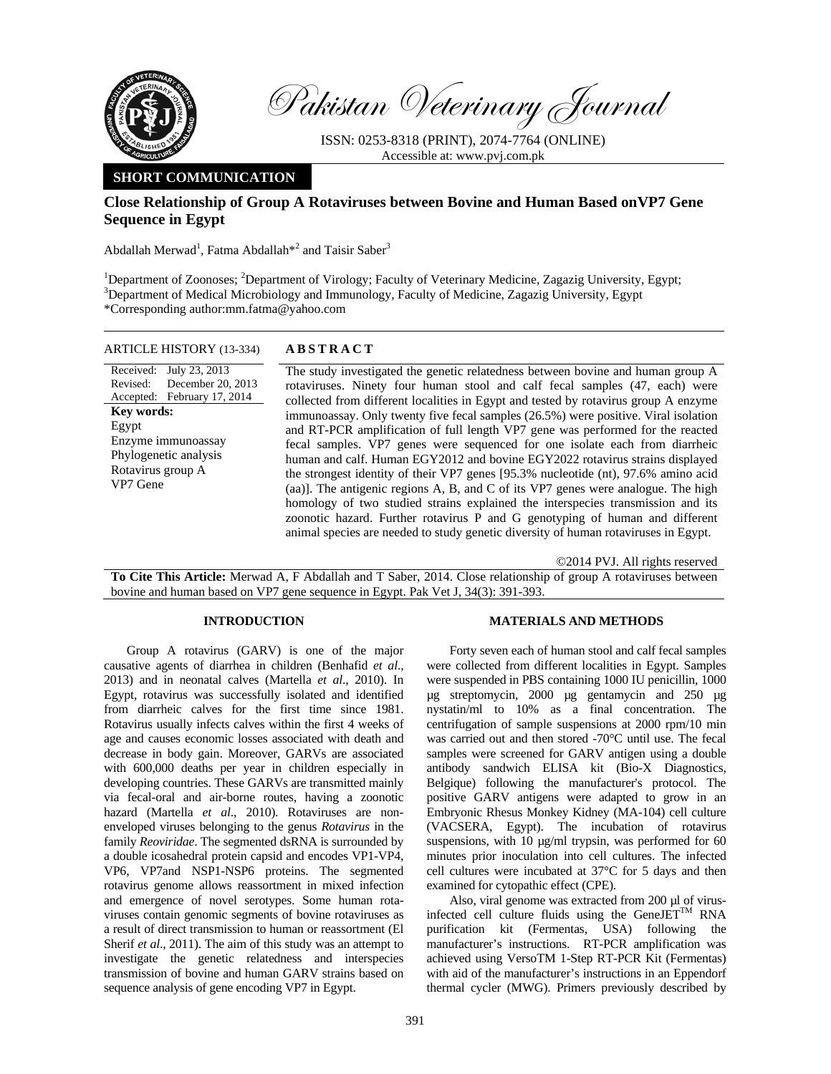

Pakistan Veterinary Journal

ISSN: 0253-8318 (PRINT), 2074-7764 (ONLINE) Accessible at: www.pvj.com.pk

# **SHORT COMMUNICATION**

# **Close Relationship of Group A Rotaviruses between Bovine and Human Based onVP7 Gene Sequence in Egypt**

Abdallah Merwad<sup>1</sup>, Fatma Abdallah<sup>\*2</sup> and Taisir Saber<sup>3</sup>

<sup>1</sup>Department of Zoonoses; <sup>2</sup>Department of Virology; Faculty of Veterinary Medicine, Zagazig University, Egypt;<br><sup>3</sup>Department of Medical Microbiology and Immunology, Faculty of Medicine, Zagazig University, Faynt  $\beta$ Department of Medical Microbiology and Immunology, Faculty of Medicine, Zagazig University, Egypt \*Corresponding author:mm.fatma@yahoo.com

#### ARTICLE HISTORY (13-334) **ABSTRACT**

Received: July 23, 2013 Revised: Accepted: February 17, 2014 December 20, 2013 **Key words:**  Egypt Enzyme immunoassay Phylogenetic analysis Rotavirus group A VP7 Gene

 The study investigated the genetic relatedness between bovine and human group A rotaviruses. Ninety four human stool and calf fecal samples (47, each) were collected from different localities in Egypt and tested by rotavirus group A enzyme immunoassay. Only twenty five fecal samples (26.5%) were positive. Viral isolation and RT-PCR amplification of full length VP7 gene was performed for the reacted fecal samples. VP7 genes were sequenced for one isolate each from diarrheic human and calf. Human EGY2012 and bovine EGY2022 rotavirus strains displayed the strongest identity of their VP7 genes [95.3% nucleotide (nt), 97.6% amino acid (aa)]. The antigenic regions A, B, and C of its VP7 genes were analogue. The high homology of two studied strains explained the interspecies transmission and its zoonotic hazard. Further rotavirus P and G genotyping of human and different animal species are needed to study genetic diversity of human rotaviruses in Egypt.

©2014 PVJ. All rights reserved

**To Cite This Article:** Merwad A, F Abdallah and T Saber, 2014. Close relationship of group A rotaviruses between bovine and human based on VP7 gene sequence in Egypt. Pak Vet J, 34(3): 391-393.

### **INTRODUCTION**

Group A rotavirus (GARV) is one of the major causative agents of diarrhea in children (Benhafid *et al*., 2013) and in neonatal calves (Martella *et al*., 2010). In Egypt, rotavirus was successfully isolated and identified from diarrheic calves for the first time since 1981. Rotavirus usually infects calves within the first 4 weeks of age and causes economic losses associated with death and decrease in body gain. Moreover, GARVs are associated with 600,000 deaths per year in children especially in developing countries. These GARVs are transmitted mainly via fecal-oral and air-borne routes, having a zoonotic hazard (Martella *et al*., 2010). Rotaviruses are nonenveloped viruses belonging to the genus *Rotavirus* in the family *Reoviridae*. The segmented dsRNA is surrounded by a double icosahedral protein capsid and encodes VP1-VP4, VP6, VP7and NSP1-NSP6 proteins. The segmented rotavirus genome allows reassortment in mixed infection and emergence of novel serotypes. Some human rotaviruses contain genomic segments of bovine rotaviruses as a result of direct transmission to human or reassortment (El Sherif *et al*., 2011). The aim of this study was an attempt to investigate the genetic relatedness and interspecies transmission of bovine and human GARV strains based on sequence analysis of gene encoding VP7 in Egypt.

## **MATERIALS AND METHODS**

Forty seven each of human stool and calf fecal samples were collected from different localities in Egypt. Samples were suspended in PBS containing 1000 IU penicillin, 1000 µg streptomycin, 2000 µg gentamycin and 250 µg nystatin/ml to 10% as a final concentration. The centrifugation of sample suspensions at 2000 rpm/10 min was carried out and then stored -70°C until use. The fecal samples were screened for GARV antigen using a double antibody sandwich ELISA kit (Bio-X Diagnostics, Belgique) following the manufacturer's protocol. The positive GARV antigens were adapted to grow in an Embryonic Rhesus Monkey Kidney (MA-104) cell culture (VACSERA, Egypt). The incubation of rotavirus suspensions, with 10  $\mu$ g/ml trypsin, was performed for 60 minutes prior inoculation into cell cultures. The infected cell cultures were incubated at 37°C for 5 days and then examined for cytopathic effect (CPE).

Also, viral genome was extracted from 200 µl of virusinfected cell culture fluids using the GeneJET<sup>TM</sup> RNA purification kit (Fermentas, USA) following the manufacturer's instructions. RT-PCR amplification was achieved using VersoTM 1-Step RT-PCR Kit (Fermentas) with aid of the manufacturer's instructions in an Eppendorf thermal cycler (MWG). Primers previously described by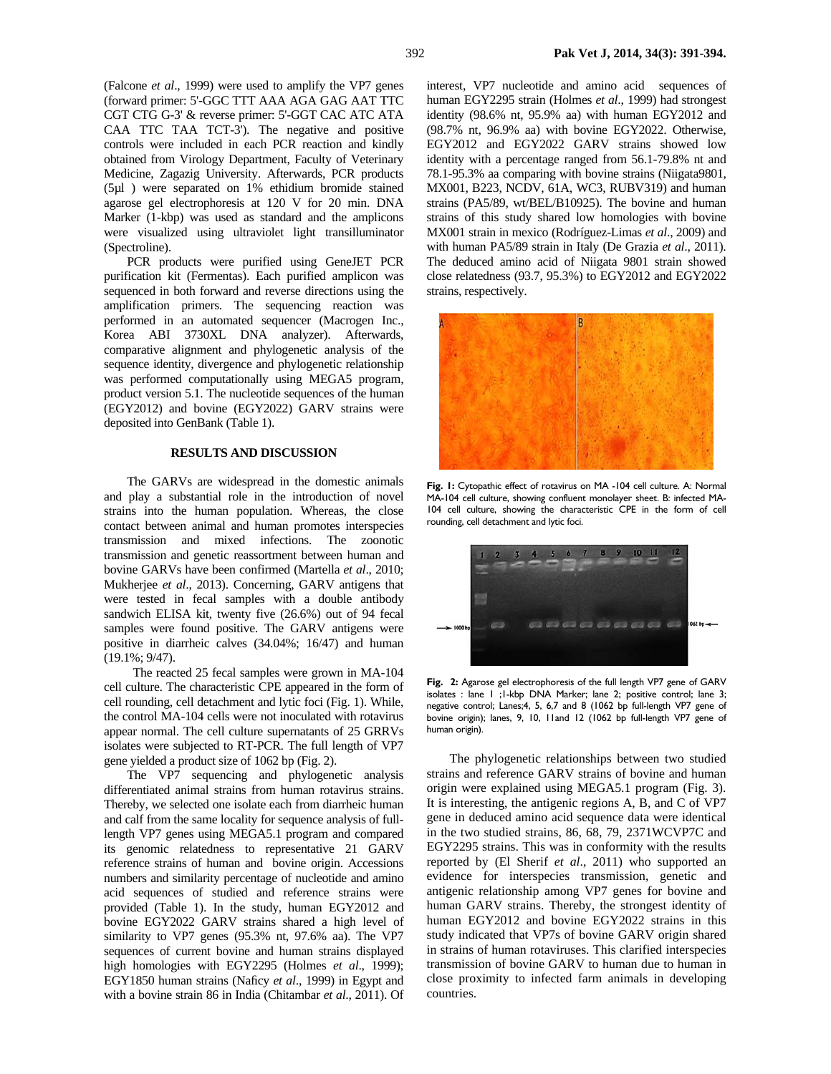(Falcone *et al*., 1999) were used to amplify the VP7 genes (forward primer: 5'-GGC TTT AAA AGA GAG AAT TTC CGT CTG G-3' & reverse primer: 5'-GGT CAC ATC ATA CAA TTC TAA TCT-3'). The negative and positive controls were included in each PCR reaction and kindly obtained from Virology Department, Faculty of Veterinary Medicine, Zagazig University. Afterwards, PCR products (5µl ) were separated on 1% ethidium bromide stained agarose gel electrophoresis at 120 V for 20 min. DNA Marker (1-kbp) was used as standard and the amplicons were visualized using ultraviolet light transilluminator (Spectroline).

PCR products were purified using GeneJET PCR purification kit (Fermentas). Each purified amplicon was sequenced in both forward and reverse directions using the amplification primers. The sequencing reaction was performed in an automated sequencer (Macrogen Inc., Korea ABI 3730XL DNA analyzer). Afterwards, comparative alignment and phylogenetic analysis of the sequence identity, divergence and phylogenetic relationship was performed computationally using MEGA5 program, product version 5.1. The nucleotide sequences of the human (EGY2012) and bovine (EGY2022) GARV strains were deposited into GenBank (Table 1).

### **RESULTS AND DISCUSSION**

The GARVs are widespread in the domestic animals and play a substantial role in the introduction of novel strains into the human population. Whereas, the close contact between animal and human promotes interspecies transmission and mixed infections. The zoonotic transmission and genetic reassortment between human and bovine GARVs have been confirmed (Martella *et al*., 2010; Mukherjee *et al*., 2013). Concerning, GARV antigens that were tested in fecal samples with a double antibody sandwich ELISA kit, twenty five (26.6%) out of 94 fecal samples were found positive. The GARV antigens were positive in diarrheic calves (34.04%; 16/47) and human (19.1%; 9/47).

 The reacted 25 fecal samples were grown in MA-104 cell culture. The characteristic CPE appeared in the form of cell rounding, cell detachment and lytic foci (Fig. 1). While, the control MA-104 cells were not inoculated with rotavirus appear normal. The cell culture supernatants of 25 GRRVs isolates were subjected to RT-PCR. The full length of VP7 gene yielded a product size of 1062 bp (Fig. 2).

The VP7 sequencing and phylogenetic analysis differentiated animal strains from human rotavirus strains. Thereby, we selected one isolate each from diarrheic human and calf from the same locality for sequence analysis of fulllength VP7 genes using MEGA5.1 program and compared its genomic relatedness to representative 21 GARV reference strains of human and bovine origin. Accessions numbers and similarity percentage of nucleotide and amino acid sequences of studied and reference strains were provided (Table 1). In the study, human EGY2012 and bovine EGY2022 GARV strains shared a high level of similarity to VP7 genes (95.3% nt, 97.6% aa). The VP7 sequences of current bovine and human strains displayed high homologies with EGY2295 (Holmes *et al*., 1999); EGY1850 human strains (Naficy *et al*., 1999) in Egypt and with a bovine strain 86 in India (Chitambar *et al*., 2011). Of

interest, VP7 nucleotide and amino acid sequences of human EGY2295 strain (Holmes *et al*., 1999) had strongest identity (98.6% nt, 95.9% aa) with human EGY2012 and (98.7% nt, 96.9% aa) with bovine EGY2022. Otherwise, EGY2012 and EGY2022 GARV strains showed low identity with a percentage ranged from 56.1-79.8% nt and 78.1-95.3% aa comparing with bovine strains (Niigata9801, MX001, B223, NCDV, 61A, WC3, RUBV319) and human strains (PA5/89, wt/BEL/B10925). The bovine and human strains of this study shared low homologies with bovine MX001 strain in mexico (Rodríguez-Limas *et al*., 2009) and with human PA5/89 strain in Italy (De Grazia *et al*., 2011). The deduced amino acid of Niigata 9801 strain showed close relatedness (93.7, 95.3%) to EGY2012 and EGY2022 strains, respectively.



Fig. 1: Cytopathic effect of rotavirus on MA -104 cell culture. A: Normal MA-104 cell culture, showing confluent monolayer sheet. B: infected MA-104 cell culture, showing the characteristic CPE in the form of cell rounding, cell detachment and lytic foci.



**Fig. 2:** Agarose gel electrophoresis of the full length VP7 gene of GARV isolates : lane 1 ;1-kbp DNA Marker; lane 2; positive control; lane 3; negative control; Lanes;4, 5, 6,7 and 8 (1062 bp full-length VP7 gene of bovine origin); lanes, 9, 10, 11and 12 (1062 bp full-length VP7 gene of human origin).

The phylogenetic relationships between two studied strains and reference GARV strains of bovine and human origin were explained using MEGA5.1 program (Fig. 3). It is interesting, the antigenic regions A, B, and C of VP7 gene in deduced amino acid sequence data were identical in the two studied strains, 86, 68, 79, 2371WCVP7C and EGY2295 strains. This was in conformity with the results reported by (El Sherif *et al*., 2011) who supported an evidence for interspecies transmission, genetic and antigenic relationship among VP7 genes for bovine and human GARV strains. Thereby, the strongest identity of human EGY2012 and bovine EGY2022 strains in this study indicated that VP7s of bovine GARV origin shared in strains of human rotaviruses. This clarified interspecies transmission of bovine GARV to human due to human in close proximity to infected farm animals in developing countries.